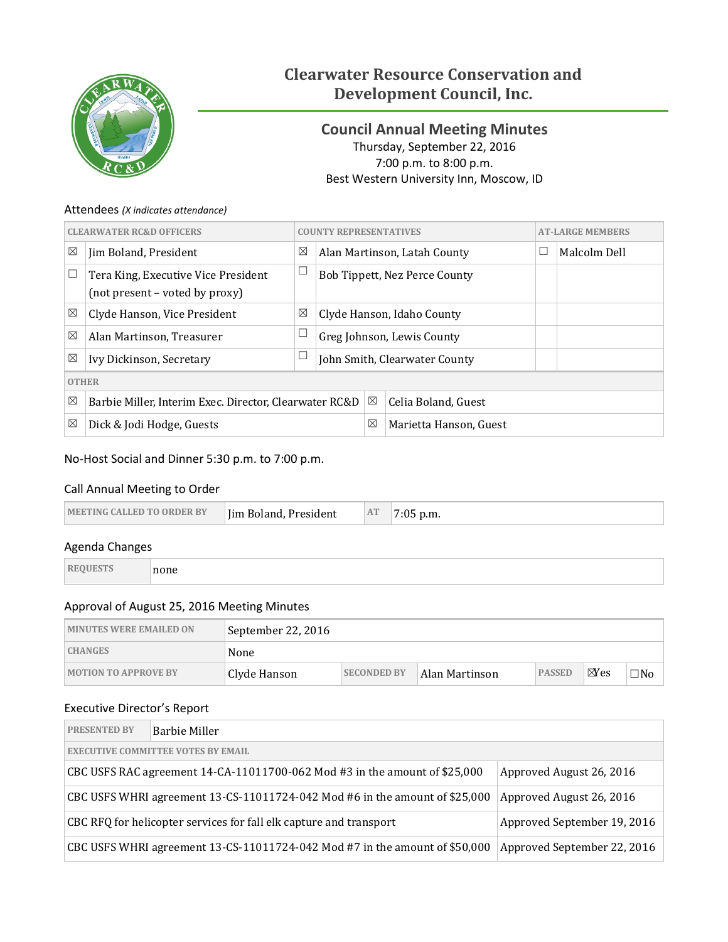

# **Clearwater Resource Conservation and Development Council, Inc.**

## <span id="page-0-0"></span>**Council Annual Meeting Minutes** Thursday, September 22, 2016 7:00 p.m. to 8:00 p.m. Best Western University Inn, Moscow, ID

## Attendees *(X indicates attendance)*

|              | <b>CLEARWATER RC&amp;D OFFICERS</b>                                   |                                                        |                            | <b>AT-LARGE MEMBERS</b><br><b>COUNTY REPRESENTATIVES</b> |                               |  |              |
|--------------|-----------------------------------------------------------------------|--------------------------------------------------------|----------------------------|----------------------------------------------------------|-------------------------------|--|--------------|
| $\boxtimes$  | Jim Boland, President                                                 | ⊠                                                      |                            |                                                          | Alan Martinson, Latah County  |  | Malcolm Dell |
|              | Tera King, Executive Vice President<br>(not present – voted by proxy) | $\Box$                                                 |                            |                                                          | Bob Tippett, Nez Perce County |  |              |
| $\boxtimes$  | Clyde Hanson, Vice President                                          | ⊠                                                      | Clyde Hanson, Idaho County |                                                          |                               |  |              |
| $\boxtimes$  | Alan Martinson, Treasurer                                             |                                                        | Greg Johnson, Lewis County |                                                          |                               |  |              |
| $\boxtimes$  | Ivy Dickinson, Secretary                                              |                                                        |                            | John Smith, Clearwater County                            |                               |  |              |
| <b>OTHER</b> |                                                                       |                                                        |                            |                                                          |                               |  |              |
| ⊠            |                                                                       | Barbie Miller, Interim Exec. Director, Clearwater RC&D |                            |                                                          | Celia Boland, Guest           |  |              |
| ⊠            | Dick & Jodi Hodge, Guests                                             |                                                        |                            | ⊠                                                        | Marietta Hanson, Guest        |  |              |

## No-Host Social and Dinner 5:30 p.m. to 7:00 p.m.

## Call Annual Meeting to Order

| AT<br>Iim Boland, President<br><b>IMEETING CALLED TO ORDER BY</b><br>p.m. |
|---------------------------------------------------------------------------|
|---------------------------------------------------------------------------|

### Agenda Changes

| <b>REQUESTS</b> | none |
|-----------------|------|
|-----------------|------|

## Approval of August 25, 2016 Meeting Minutes

| <b>MINUTES WERE EMAILED ON</b> | September 22, 2016 |                    |                |               |                |           |
|--------------------------------|--------------------|--------------------|----------------|---------------|----------------|-----------|
| <b>CHANGES</b>                 | None               |                    |                |               |                |           |
| <b>MOTION TO APPROVE BY</b>    | Clyde Hanson       | <b>SECONDED BY</b> | Alan Martinson | <b>PASSED</b> | $\boxtimes$ es | $\neg$ No |

## Executive Director's Report

| <b>PRESENTED BY</b>                                                                                       | Barbie Miller                                                                                              |  |  |  |  |  |  |
|-----------------------------------------------------------------------------------------------------------|------------------------------------------------------------------------------------------------------------|--|--|--|--|--|--|
| <b>EXECUTIVE COMMITTEE VOTES BY EMAIL</b>                                                                 |                                                                                                            |  |  |  |  |  |  |
| CBC USFS RAC agreement $14$ -CA-11011700-062 Mod #3 in the amount of \$25,000<br>Approved August 26, 2016 |                                                                                                            |  |  |  |  |  |  |
| CBC USFS WHRI agreement 13-CS-11011724-042 Mod #6 in the amount of \$25,000<br>Approved August 26, 2016   |                                                                                                            |  |  |  |  |  |  |
| CBC RFQ for helicopter services for fall elk capture and transport<br>Approved September 19, 2016         |                                                                                                            |  |  |  |  |  |  |
|                                                                                                           | CBC USFS WHRI agreement 13-CS-11011724-042 Mod #7 in the amount of \$50,000<br>Approved September 22, 2016 |  |  |  |  |  |  |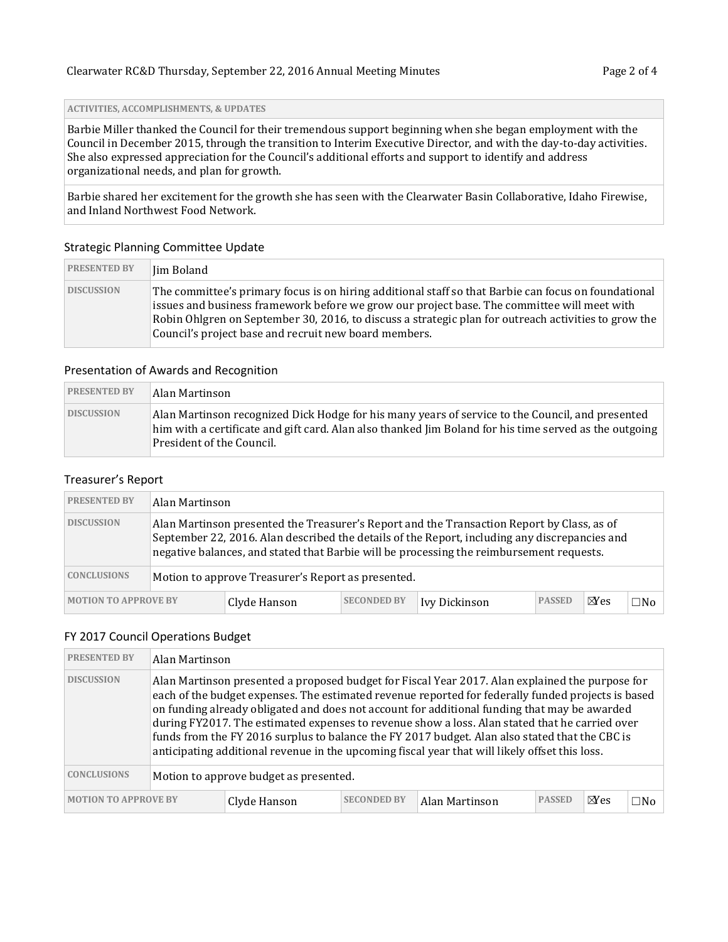**ACTIVITIES, ACCOMPLISHMENTS, & UPDATES**

Barbie Miller thanked the Council for their tremendous support beginning when she began employment with the Council in December 2015, through the transition to Interim Executive Director, and with the day-to-day activities. She also expressed appreciation for the Council's additional efforts and support to identify and address organizational needs, and plan for growth.

Barbie shared her excitement for the growth she has seen with the Clearwater Basin Collaborative, Idaho Firewise, and Inland Northwest Food Network.

#### Strategic Planning Committee Update

| <b>PRESENTED BY</b> | Iim Boland                                                                                                                                                                                                                                                                                                                                                           |
|---------------------|----------------------------------------------------------------------------------------------------------------------------------------------------------------------------------------------------------------------------------------------------------------------------------------------------------------------------------------------------------------------|
| <b>DISCUSSION</b>   | The committee's primary focus is on hiring additional staff so that Barbie can focus on foundational<br>issues and business framework before we grow our project base. The committee will meet with<br>Robin Ohlgren on September 30, 2016, to discuss a strategic plan for outreach activities to grow the<br>Council's project base and recruit new board members. |

#### Presentation of Awards and Recognition

| <b>PRESENTED BY</b> | Alan Martinson                                                                                                                                                                                                                            |
|---------------------|-------------------------------------------------------------------------------------------------------------------------------------------------------------------------------------------------------------------------------------------|
| <b>DISCUSSION</b>   | Alan Martinson recognized Dick Hodge for his many years of service to the Council, and presented<br>him with a certificate and gift card. Alan also thanked Jim Boland for his time served as the outgoing<br>  President of the Council. |

#### Treasurer's Report

| <b>PRESENTED BY</b>         |                                                    | Alan Martinson                                                                                                                                                                                                                                                                          |                    |               |               |                |              |  |
|-----------------------------|----------------------------------------------------|-----------------------------------------------------------------------------------------------------------------------------------------------------------------------------------------------------------------------------------------------------------------------------------------|--------------------|---------------|---------------|----------------|--------------|--|
| <b>DISCUSSION</b>           |                                                    | Alan Martinson presented the Treasurer's Report and the Transaction Report by Class, as of<br>September 22, 2016. Alan described the details of the Report, including any discrepancies and<br>negative balances, and stated that Barbie will be processing the reimbursement requests. |                    |               |               |                |              |  |
| <b>CONCLUSIONS</b>          | Motion to approve Treasurer's Report as presented. |                                                                                                                                                                                                                                                                                         |                    |               |               |                |              |  |
| <b>MOTION TO APPROVE BY</b> |                                                    | Clyde Hanson                                                                                                                                                                                                                                                                            | <b>SECONDED BY</b> | Ivy Dickinson | <b>PASSED</b> | $\boxtimes$ es | $\square$ No |  |

#### FY 2017 Council Operations Budget

| <b>PRESENTED BY</b>         |                                        | Alan Martinson |                    |                                                                                                                                                                                                                                                                                                                                                                                                                                                                                                                                                                                                             |               |                |              |  |  |
|-----------------------------|----------------------------------------|----------------|--------------------|-------------------------------------------------------------------------------------------------------------------------------------------------------------------------------------------------------------------------------------------------------------------------------------------------------------------------------------------------------------------------------------------------------------------------------------------------------------------------------------------------------------------------------------------------------------------------------------------------------------|---------------|----------------|--------------|--|--|
| <b>DISCUSSION</b>           |                                        |                |                    | Alan Martinson presented a proposed budget for Fiscal Year 2017. Alan explained the purpose for<br>each of the budget expenses. The estimated revenue reported for federally funded projects is based<br>on funding already obligated and does not account for additional funding that may be awarded<br>during FY2017. The estimated expenses to revenue show a loss. Alan stated that he carried over<br>funds from the FY 2016 surplus to balance the FY 2017 budget. Alan also stated that the CBC is<br>anticipating additional revenue in the upcoming fiscal year that will likely offset this loss. |               |                |              |  |  |
| <b>CONCLUSIONS</b>          | Motion to approve budget as presented. |                |                    |                                                                                                                                                                                                                                                                                                                                                                                                                                                                                                                                                                                                             |               |                |              |  |  |
| <b>MOTION TO APPROVE BY</b> |                                        | Clyde Hanson   | <b>SECONDED BY</b> | Alan Martinson                                                                                                                                                                                                                                                                                                                                                                                                                                                                                                                                                                                              | <b>PASSED</b> | $\boxtimes$ es | $\square$ No |  |  |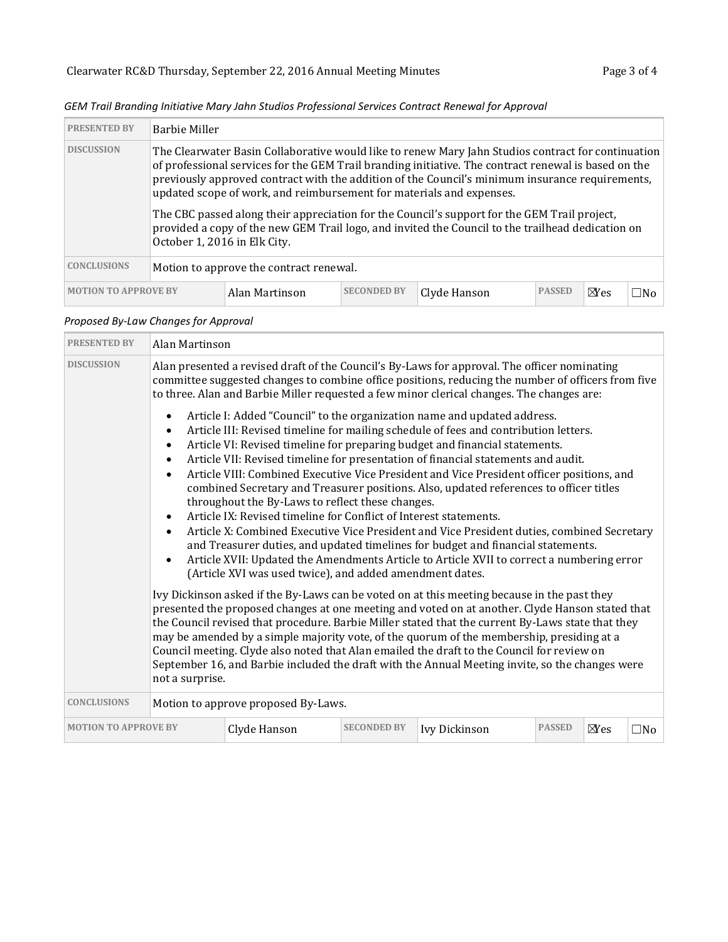| <b>PRESENTED BY</b>         | <b>Barbie Miller</b>                    |                                                                      |                    |                                                                                                                                                                                                                                                                                                                                                                                                                                                                                                                    |               |        |     |  |  |  |
|-----------------------------|-----------------------------------------|----------------------------------------------------------------------|--------------------|--------------------------------------------------------------------------------------------------------------------------------------------------------------------------------------------------------------------------------------------------------------------------------------------------------------------------------------------------------------------------------------------------------------------------------------------------------------------------------------------------------------------|---------------|--------|-----|--|--|--|
| <b>DISCUSSION</b>           |                                         | updated scope of work, and reimbursement for materials and expenses. |                    | The Clearwater Basin Collaborative would like to renew Mary Jahn Studios contract for continuation<br>of professional services for the GEM Trail branding initiative. The contract renewal is based on the<br>previously approved contract with the addition of the Council's minimum insurance requirements,<br>The CBC passed along their appreciation for the Council's support for the GEM Trail project,<br>provided a copy of the new GEM Trail logo, and invited the Council to the trailhead dedication on |               |        |     |  |  |  |
|                             | October 1, 2016 in Elk City.            |                                                                      |                    |                                                                                                                                                                                                                                                                                                                                                                                                                                                                                                                    |               |        |     |  |  |  |
| <b>CONCLUSIONS</b>          | Motion to approve the contract renewal. |                                                                      |                    |                                                                                                                                                                                                                                                                                                                                                                                                                                                                                                                    |               |        |     |  |  |  |
| <b>MOTION TO APPROVE BY</b> |                                         | Alan Martinson                                                       | <b>SECONDED BY</b> | Clyde Hanson                                                                                                                                                                                                                                                                                                                                                                                                                                                                                                       | <b>PASSED</b> | $N$ es | ⊟No |  |  |  |

|  | GEM Trail Branding Initiative Mary Jahn Studios Professional Services Contract Renewal for Approval |  |
|--|-----------------------------------------------------------------------------------------------------|--|
|--|-----------------------------------------------------------------------------------------------------|--|

## *Proposed By-Law Changes for Approval*

| <b>PRESENTED BY</b>         | Alan Martinson                                                                                                                                                                                                                                                                                                                                                                                                                                                                                                                                                                                                       |                                                                                                                                                                                   |                    |                                                                                                                                                                                                                                                                                                                                                                                                                                                                                                                                                                                                                                                                                                                                                                                                            |               |        |              |
|-----------------------------|----------------------------------------------------------------------------------------------------------------------------------------------------------------------------------------------------------------------------------------------------------------------------------------------------------------------------------------------------------------------------------------------------------------------------------------------------------------------------------------------------------------------------------------------------------------------------------------------------------------------|-----------------------------------------------------------------------------------------------------------------------------------------------------------------------------------|--------------------|------------------------------------------------------------------------------------------------------------------------------------------------------------------------------------------------------------------------------------------------------------------------------------------------------------------------------------------------------------------------------------------------------------------------------------------------------------------------------------------------------------------------------------------------------------------------------------------------------------------------------------------------------------------------------------------------------------------------------------------------------------------------------------------------------------|---------------|--------|--------------|
| <b>DISCUSSION</b>           |                                                                                                                                                                                                                                                                                                                                                                                                                                                                                                                                                                                                                      |                                                                                                                                                                                   |                    | Alan presented a revised draft of the Council's By-Laws for approval. The officer nominating<br>committee suggested changes to combine office positions, reducing the number of officers from five<br>to three. Alan and Barbie Miller requested a few minor clerical changes. The changes are:                                                                                                                                                                                                                                                                                                                                                                                                                                                                                                            |               |        |              |
|                             | $\bullet$<br>$\bullet$<br>$\bullet$                                                                                                                                                                                                                                                                                                                                                                                                                                                                                                                                                                                  | throughout the By-Laws to reflect these changes.<br>Article IX: Revised timeline for Conflict of Interest statements.<br>(Article XVI was used twice), and added amendment dates. |                    | Article I: Added "Council" to the organization name and updated address.<br>Article III: Revised timeline for mailing schedule of fees and contribution letters.<br>Article VI: Revised timeline for preparing budget and financial statements.<br>Article VII: Revised timeline for presentation of financial statements and audit.<br>Article VIII: Combined Executive Vice President and Vice President officer positions, and<br>combined Secretary and Treasurer positions. Also, updated references to officer titles<br>Article X: Combined Executive Vice President and Vice President duties, combined Secretary<br>and Treasurer duties, and updated timelines for budget and financial statements.<br>Article XVII: Updated the Amendments Article to Article XVII to correct a numbering error |               |        |              |
|                             | Ivy Dickinson asked if the By-Laws can be voted on at this meeting because in the past they<br>presented the proposed changes at one meeting and voted on at another. Clyde Hanson stated that<br>the Council revised that procedure. Barbie Miller stated that the current By-Laws state that they<br>may be amended by a simple majority vote, of the quorum of the membership, presiding at a<br>Council meeting. Clyde also noted that Alan emailed the draft to the Council for review on<br>September 16, and Barbie included the draft with the Annual Meeting invite, so the changes were<br>not a surprise. |                                                                                                                                                                                   |                    |                                                                                                                                                                                                                                                                                                                                                                                                                                                                                                                                                                                                                                                                                                                                                                                                            |               |        |              |
| <b>CONCLUSIONS</b>          |                                                                                                                                                                                                                                                                                                                                                                                                                                                                                                                                                                                                                      | Motion to approve proposed By-Laws.                                                                                                                                               |                    |                                                                                                                                                                                                                                                                                                                                                                                                                                                                                                                                                                                                                                                                                                                                                                                                            |               |        |              |
| <b>MOTION TO APPROVE BY</b> |                                                                                                                                                                                                                                                                                                                                                                                                                                                                                                                                                                                                                      | Clyde Hanson                                                                                                                                                                      | <b>SECONDED BY</b> | Ivy Dickinson                                                                                                                                                                                                                                                                                                                                                                                                                                                                                                                                                                                                                                                                                                                                                                                              | <b>PASSED</b> | $N$ es | $\square$ No |